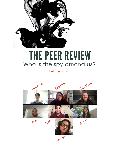

## THE PEER REVIEW Who is the spy among us? Spring 2021

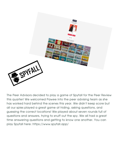

The Peer Advisors decided to play a game of Spyfall for the Peer Review this quarter! We welcomed Pawee into the peer advising team as she has worked hard behind the scenes this year. We didn't keep score but all our spies played a great game at hiding, asking questions, and guessing the correct locations! We played about seven rounds full of questions and answers, trying to snuff out the spy. We all had a great time answering questions and getting to know one another. You can play Spyfall here: https://www.spyfall.app/